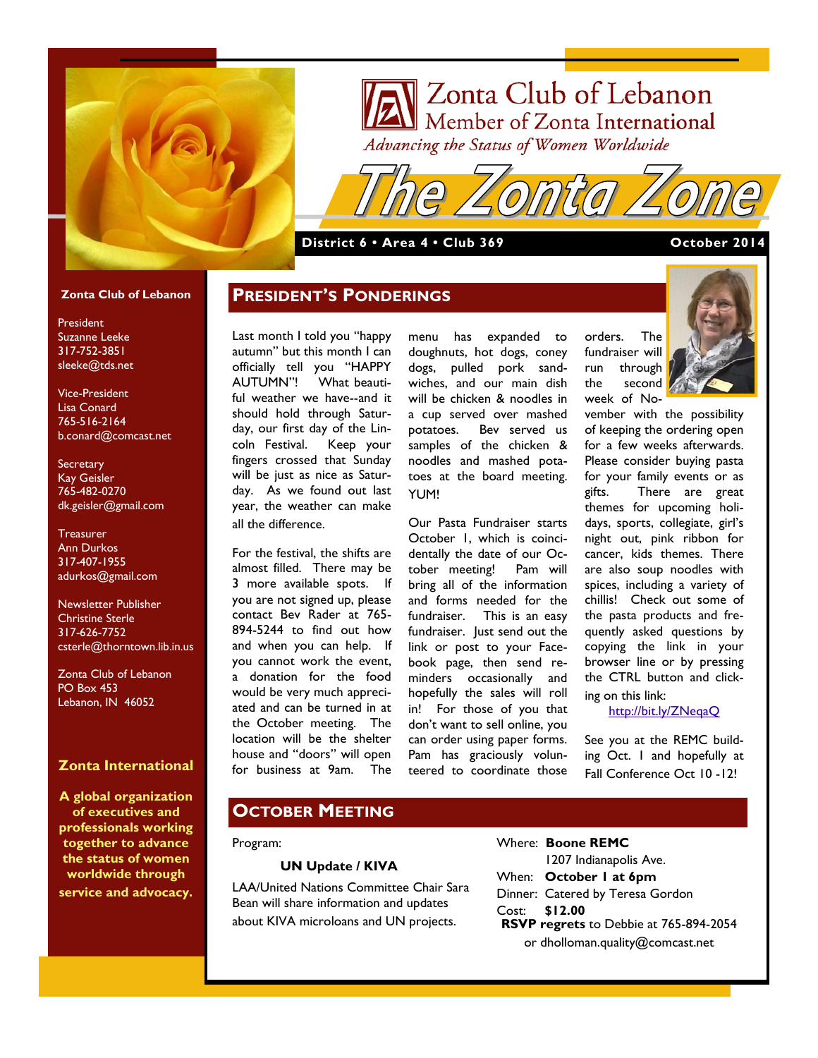

# Zonta Club of Lebanon<br>Member of Zonta International Advancing the Status of Women Worldwide

**District 6 • Area 4 • Club 369 <b>October 2014** 

### **Zonta Club of Lebanon**

President Suzanne Leeke 317-752-3851 sleeke@tds.net

Vice-President Lisa Conard 765-516-2164 b.conard@comcast.net

**Secretary** Kay Geisler 765-482-0270 dk.geisler@gmail.com

**Treasurer** Ann Durkos 317-407-1955 adurkos@gmail.com

Newsletter Publisher Christine Sterle 317-626-7752 csterle@thorntown.lib.in.us

Zonta Club of Lebanon PO Box 453 Lebanon, IN 46052

## **Zonta International**

**A global organization of executives and professionals working together to advance the status of women worldwide through service and advocacy.**

Last month I told you "happy autumn" but this month I can officially tell you "HAPPY<br>AUTUMN"! What-beauti-What beautiful weather we have--and it should hold through Saturday, our first day of the Lincoln Festival. Keep your fingers crossed that Sunday will be just as nice as Saturday. As we found out last year, the weather can make all the difference.

**PRESIDENT'S PONDERINGS**

For the festival, the shifts are almost filled. There may be 3 more available spots. If you are not signed up, please contact Bev Rader at 765- 894-5244 to find out how and when you can help. If you cannot work the event, a donation for the food would be very much appreciated and can be turned in at the October meeting. The location will be the shelter house and "doors" will open for business at 9am. The

menu has expanded to doughnuts, hot dogs, coney dogs, pulled pork sandwiches, and our main dish will be chicken & noodles in a cup served over mashed potatoes. Bev served us samples of the chicken & noodles and mashed potatoes at the board meeting. YUM!

Our Pasta Fundraiser starts October 1, which is coincidentally the date of our October meeting! Pam will bring all of the information and forms needed for the fundraiser. This is an easy fundraiser. Just send out the link or post to your Facebook page, then send reminders occasionally and hopefully the sales will roll in! For those of you that don't want to sell online, you can order using paper forms. Pam has graciously volunteered to coordinate those

orders. The fundraiser will run through the second week of No-



vember with the possibility of keeping the ordering open for a few weeks afterwards. Please consider buying pasta for your family events or as gifts. There are great themes for upcoming holidays, sports, collegiate, girl's night out, pink ribbon for cancer, kids themes. There are also soup noodles with spices, including a variety of chillis! Check out some of the pasta products and frequently asked questions by copying the link in your browser line or by pressing the CTRL button and clicking on this link:

<http://bit.ly/ZNeqaQ>

See you at the REMC building Oct. 1 and hopefully at Fall Conference Oct 10 -12!

# **OCTOBER MEETING**

#### Program:

### **UN Update / KIVA**

LAA/United Nations Committee Chair Sara Bean will share information and updates about KIVA microloans and UN projects.

Where: **Boone REMC** 1207 Indianapolis Ave. When: **October 1 at 6pm** Dinner: Catered by Teresa Gordon Cost: **\$12.00 RSVP regrets** to Debbie at 765-894-2054 or dholloman.quality@comcast.net